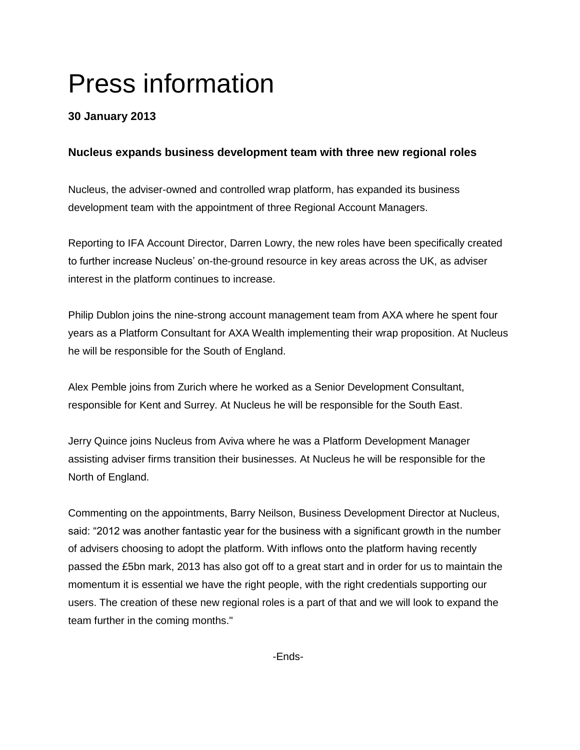# Press information

## **30 January 2013**

### **Nucleus expands business development team with three new regional roles**

Nucleus, the adviser-owned and controlled wrap platform, has expanded its business development team with the appointment of three Regional Account Managers.

Reporting to IFA Account Director, Darren Lowry, the new roles have been specifically created to further increase Nucleus' on-the-ground resource in key areas across the UK, as adviser interest in the platform continues to increase.

Philip Dublon joins the nine-strong account management team from AXA where he spent four years as a Platform Consultant for AXA Wealth implementing their wrap proposition. At Nucleus he will be responsible for the South of England.

Alex Pemble joins from Zurich where he worked as a Senior Development Consultant, responsible for Kent and Surrey. At Nucleus he will be responsible for the South East.

Jerry Quince joins Nucleus from Aviva where he was a Platform Development Manager assisting adviser firms transition their businesses. At Nucleus he will be responsible for the North of England.

Commenting on the appointments, Barry Neilson, Business Development Director at Nucleus, said: "2012 was another fantastic year for the business with a significant growth in the number of advisers choosing to adopt the platform. With inflows onto the platform having recently passed the £5bn mark, 2013 has also got off to a great start and in order for us to maintain the momentum it is essential we have the right people, with the right credentials supporting our users. The creation of these new regional roles is a part of that and we will look to expand the team further in the coming months."

-Ends-